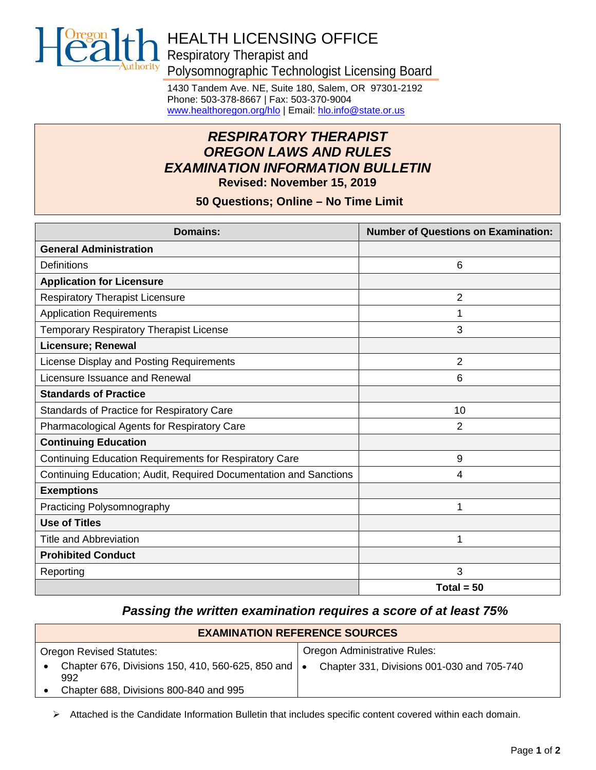

# HEALTH LICENSING OFFICE Respiratory Therapist and

Polysomnographic Technologist Licensing Board

1430 Tandem Ave. NE, Suite 180, Salem, OR 97301-2192 Phone: 503-378-8667 | Fax: 503-370-9004 [www.healthoregon.org/hlo](http://www.oregon.gov/oha/hlo) | Email[: hlo.info@state.or.us](mailto:hlo.info@state.or.us)

# *RESPIRATORY THERAPIST OREGON LAWS AND RULES EXAMINATION INFORMATION BULLETIN* **Revised: November 15, 2019**

**50 Questions; Online – No Time Limit**

| <b>Domains:</b>                                                   | <b>Number of Questions on Examination:</b> |
|-------------------------------------------------------------------|--------------------------------------------|
| <b>General Administration</b>                                     |                                            |
| Definitions                                                       | 6                                          |
| <b>Application for Licensure</b>                                  |                                            |
| <b>Respiratory Therapist Licensure</b>                            | $\overline{2}$                             |
| <b>Application Requirements</b>                                   | 1                                          |
| Temporary Respiratory Therapist License                           | 3                                          |
| <b>Licensure; Renewal</b>                                         |                                            |
| License Display and Posting Requirements                          | $\overline{2}$                             |
| Licensure Issuance and Renewal                                    | 6                                          |
| <b>Standards of Practice</b>                                      |                                            |
| Standards of Practice for Respiratory Care                        | 10                                         |
| Pharmacological Agents for Respiratory Care                       | $\overline{2}$                             |
| <b>Continuing Education</b>                                       |                                            |
| <b>Continuing Education Requirements for Respiratory Care</b>     | 9                                          |
| Continuing Education; Audit, Required Documentation and Sanctions | 4                                          |
| <b>Exemptions</b>                                                 |                                            |
| Practicing Polysomnography                                        | 1                                          |
| <b>Use of Titles</b>                                              |                                            |
| <b>Title and Abbreviation</b>                                     | 1                                          |
| <b>Prohibited Conduct</b>                                         |                                            |
| Reporting                                                         | 3                                          |
|                                                                   | Total = $50$                               |

# *Passing the written examination requires a score of at least 75%*

| <b>EXAMINATION REFERENCE SOURCES</b>                         |                                            |  |
|--------------------------------------------------------------|--------------------------------------------|--|
| <b>Oregon Revised Statutes:</b>                              | Oregon Administrative Rules:               |  |
| Chapter 676, Divisions 150, 410, 560-625, 850 and   •<br>992 | Chapter 331, Divisions 001-030 and 705-740 |  |
| Chapter 688, Divisions 800-840 and 995                       |                                            |  |

 $\triangleright$  Attached is the Candidate Information Bulletin that includes specific content covered within each domain.